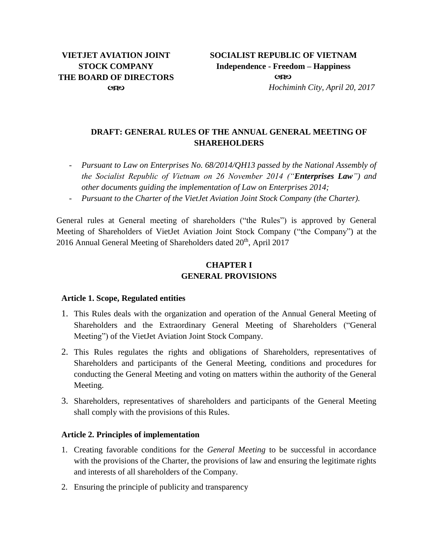## **DRAFT: GENERAL RULES OF THE ANNUAL GENERAL MEETING OF SHAREHOLDERS**

- *Pursuant to Law on Enterprises No. 68/2014/QH13 passed by the National Assembly of the Socialist Republic of Vietnam on 26 November 2014 ("Enterprises Law") and other documents guiding the implementation of Law on Enterprises 2014;*
- *Pursuant to the Charter of the VietJet Aviation Joint Stock Company (the Charter).*

General rules at General meeting of shareholders ("the Rules") is approved by General Meeting of Shareholders of VietJet Aviation Joint Stock Company ("the Company") at the 2016 Annual General Meeting of Shareholders dated 20<sup>th</sup>, April 2017

## **CHAPTER I GENERAL PROVISIONS**

#### **Article 1. Scope, Regulated entities**

- 1. This Rules deals with the organization and operation of the Annual General Meeting of Shareholders and the Extraordinary General Meeting of Shareholders ("General Meeting") of the VietJet Aviation Joint Stock Company.
- 2. This Rules regulates the rights and obligations of Shareholders, representatives of Shareholders and participants of the General Meeting, conditions and procedures for conducting the General Meeting and voting on matters within the authority of the General Meeting.
- 3. Shareholders, representatives of shareholders and participants of the General Meeting shall comply with the provisions of this Rules.

## **Article 2. Principles of implementation**

- 1. Creating favorable conditions for the *General Meeting* to be successful in accordance with the provisions of the Charter, the provisions of law and ensuring the legitimate rights and interests of all shareholders of the Company.
- 2. Ensuring the principle of publicity and transparency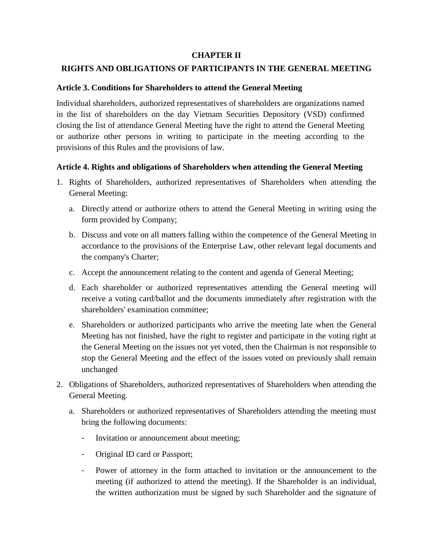### **CHAPTER II**

### **RIGHTS AND OBLIGATIONS OF PARTICIPANTS IN THE GENERAL MEETING**

### **Article 3. Conditions for Shareholders to attend the General Meeting**

Individual shareholders, authorized representatives of shareholders are organizations named in the list of shareholders on the day Vietnam Securities Depository (VSD) confirmed closing the list of attendance General Meeting have the right to attend the General Meeting or authorize other persons in writing to participate in the meeting according to the provisions of this Rules and the provisions of law.

### **Article 4. Rights and obligations of Shareholders when attending the General Meeting**

- 1. Rights of Shareholders, authorized representatives of Shareholders when attending the General Meeting:
	- a. Directly attend or authorize others to attend the General Meeting in writing using the form provided by Company;
	- b. Discuss and vote on all matters falling within the competence of the General Meeting in accordance to the provisions of the Enterprise Law, other relevant legal documents and the company's Charter;
	- c. Accept the announcement relating to the content and agenda of General Meeting;
	- d. Each shareholder or authorized representatives attending the General meeting will receive a voting card/ballot and the documents immediately after registration with the shareholders' examination committee;
	- e. Shareholders or authorized participants who arrive the meeting late when the General Meeting has not finished, have the right to register and participate in the voting right at the General Meeting on the issues not yet voted, then the Chairman is not responsible to stop the General Meeting and the effect of the issues voted on previously shall remain unchanged
- 2. Obligations of Shareholders, authorized representatives of Shareholders when attending the General Meeting.
	- a. Shareholders or authorized representatives of Shareholders attending the meeting must bring the following documents:
		- Invitation or announcement about meeting;
		- Original ID card or Passport;
		- Power of attorney in the form attached to invitation or the announcement to the meeting (if authorized to attend the meeting). If the Shareholder is an individual, the written authorization must be signed by such Shareholder and the signature of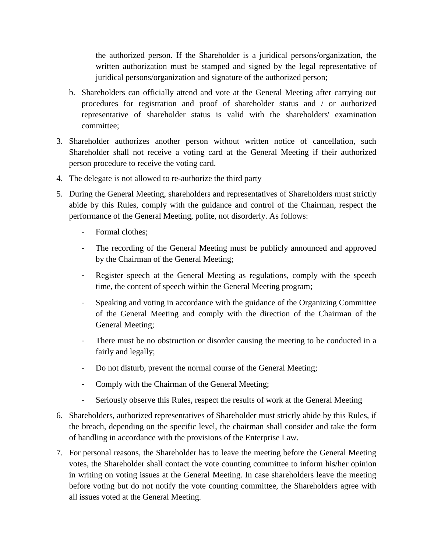the authorized person. If the Shareholder is a juridical persons/organization, the written authorization must be stamped and signed by the legal representative of juridical persons/organization and signature of the authorized person;

- b. Shareholders can officially attend and vote at the General Meeting after carrying out procedures for registration and proof of shareholder status and / or authorized representative of shareholder status is valid with the shareholders' examination committee;
- 3. Shareholder authorizes another person without written notice of cancellation, such Shareholder shall not receive a voting card at the General Meeting if their authorized person procedure to receive the voting card.
- 4. The delegate is not allowed to re-authorize the third party
- 5. During the General Meeting, shareholders and representatives of Shareholders must strictly abide by this Rules, comply with the guidance and control of the Chairman, respect the performance of the General Meeting, polite, not disorderly. As follows:
	- Formal clothes:
	- The recording of the General Meeting must be publicly announced and approved by the Chairman of the General Meeting;
	- Register speech at the General Meeting as regulations, comply with the speech time, the content of speech within the General Meeting program;
	- Speaking and voting in accordance with the guidance of the Organizing Committee of the General Meeting and comply with the direction of the Chairman of the General Meeting;
	- There must be no obstruction or disorder causing the meeting to be conducted in a fairly and legally;
	- Do not disturb, prevent the normal course of the General Meeting;
	- Comply with the Chairman of the General Meeting;
	- Seriously observe this Rules, respect the results of work at the General Meeting
- 6. Shareholders, authorized representatives of Shareholder must strictly abide by this Rules, if the breach, depending on the specific level, the chairman shall consider and take the form of handling in accordance with the provisions of the Enterprise Law.
- 7. For personal reasons, the Shareholder has to leave the meeting before the General Meeting votes, the Shareholder shall contact the vote counting committee to inform his/her opinion in writing on voting issues at the General Meeting. In case shareholders leave the meeting before voting but do not notify the vote counting committee, the Shareholders agree with all issues voted at the General Meeting.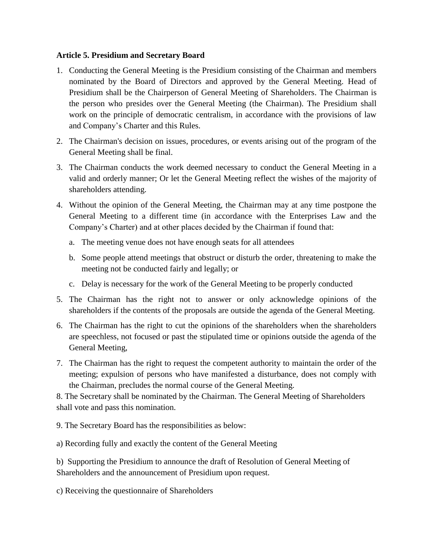### **Article 5. Presidium and Secretary Board**

- 1. Conducting the General Meeting is the Presidium consisting of the Chairman and members nominated by the Board of Directors and approved by the General Meeting. Head of Presidium shall be the Chairperson of General Meeting of Shareholders. The Chairman is the person who presides over the General Meeting (the Chairman). The Presidium shall work on the principle of democratic centralism, in accordance with the provisions of law and Company's Charter and this Rules.
- 2. The Chairman's decision on issues, procedures, or events arising out of the program of the General Meeting shall be final.
- 3. The Chairman conducts the work deemed necessary to conduct the General Meeting in a valid and orderly manner; Or let the General Meeting reflect the wishes of the majority of shareholders attending.
- 4. Without the opinion of the General Meeting, the Chairman may at any time postpone the General Meeting to a different time (in accordance with the Enterprises Law and the Company's Charter) and at other places decided by the Chairman if found that:
	- a. The meeting venue does not have enough seats for all attendees
	- b. Some people attend meetings that obstruct or disturb the order, threatening to make the meeting not be conducted fairly and legally; or
	- c. Delay is necessary for the work of the General Meeting to be properly conducted
- 5. The Chairman has the right not to answer or only acknowledge opinions of the shareholders if the contents of the proposals are outside the agenda of the General Meeting.
- 6. The Chairman has the right to cut the opinions of the shareholders when the shareholders are speechless, not focused or past the stipulated time or opinions outside the agenda of the General Meeting,
- 7. The Chairman has the right to request the competent authority to maintain the order of the meeting; expulsion of persons who have manifested a disturbance, does not comply with the Chairman, precludes the normal course of the General Meeting.

8. The Secretary shall be nominated by the Chairman. The General Meeting of Shareholders shall vote and pass this nomination.

- 9. The Secretary Board has the responsibilities as below:
- a) Recording fully and exactly the content of the General Meeting

b) Supporting the Presidium to announce the draft of Resolution of General Meeting of Shareholders and the announcement of Presidium upon request.

c) Receiving the questionnaire of Shareholders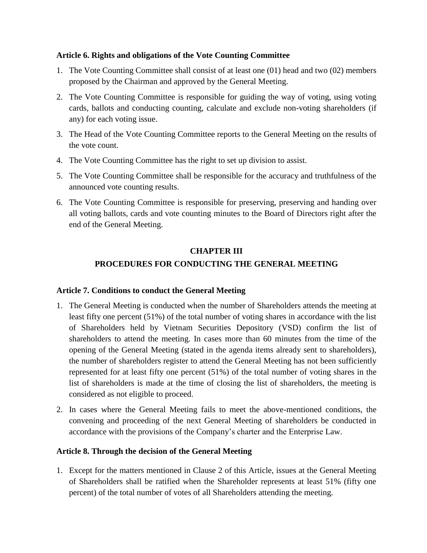### **Article 6. Rights and obligations of the Vote Counting Committee**

- 1. The Vote Counting Committee shall consist of at least one (01) head and two (02) members proposed by the Chairman and approved by the General Meeting.
- 2. The Vote Counting Committee is responsible for guiding the way of voting, using voting cards, ballots and conducting counting, calculate and exclude non-voting shareholders (if any) for each voting issue.
- 3. The Head of the Vote Counting Committee reports to the General Meeting on the results of the vote count.
- 4. The Vote Counting Committee has the right to set up division to assist.
- 5. The Vote Counting Committee shall be responsible for the accuracy and truthfulness of the announced vote counting results.
- 6. The Vote Counting Committee is responsible for preserving, preserving and handing over all voting ballots, cards and vote counting minutes to the Board of Directors right after the end of the General Meeting.

### **CHAPTER III**

## **PROCEDURES FOR CONDUCTING THE GENERAL MEETING**

## **Article 7. Conditions to conduct the General Meeting**

- 1. The General Meeting is conducted when the number of Shareholders attends the meeting at least fifty one percent (51%) of the total number of voting shares in accordance with the list of Shareholders held by Vietnam Securities Depository (VSD) confirm the list of shareholders to attend the meeting. In cases more than 60 minutes from the time of the opening of the General Meeting (stated in the agenda items already sent to shareholders), the number of shareholders register to attend the General Meeting has not been sufficiently represented for at least fifty one percent (51%) of the total number of voting shares in the list of shareholders is made at the time of closing the list of shareholders, the meeting is considered as not eligible to proceed.
- 2. In cases where the General Meeting fails to meet the above-mentioned conditions, the convening and proceeding of the next General Meeting of shareholders be conducted in accordance with the provisions of the Company's charter and the Enterprise Law.

## **Article 8. Through the decision of the General Meeting**

1. Except for the matters mentioned in Clause 2 of this Article, issues at the General Meeting of Shareholders shall be ratified when the Shareholder represents at least 51% (fifty one percent) of the total number of votes of all Shareholders attending the meeting.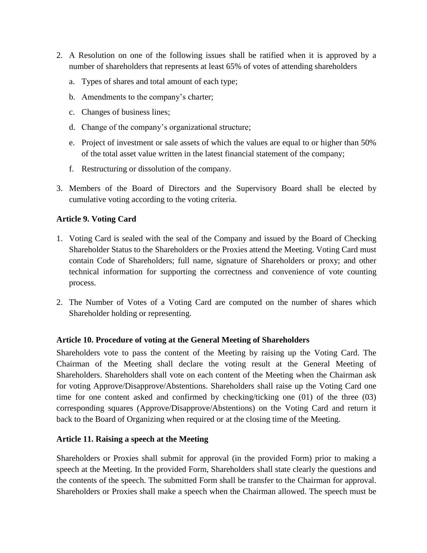- 2. A Resolution on one of the following issues shall be ratified when it is approved by a number of shareholders that represents at least 65% of votes of attending shareholders
	- a. Types of shares and total amount of each type;
	- b. Amendments to the company's charter;
	- c. Changes of business lines;
	- d. Change of the company's organizational structure;
	- e. Project of investment or sale assets of which the values are equal to or higher than 50% of the total asset value written in the latest financial statement of the company;
	- f. Restructuring or dissolution of the company.
- 3. Members of the Board of Directors and the Supervisory Board shall be elected by cumulative voting according to the voting criteria.

## **Article 9. Voting Card**

- 1. Voting Card is sealed with the seal of the Company and issued by the Board of Checking Shareholder Status to the Shareholders or the Proxies attend the Meeting. Voting Card must contain Code of Shareholders; full name, signature of Shareholders or proxy; and other technical information for supporting the correctness and convenience of vote counting process.
- 2. The Number of Votes of a Voting Card are computed on the number of shares which Shareholder holding or representing.

## **Article 10. Procedure of voting at the General Meeting of Shareholders**

Shareholders vote to pass the content of the Meeting by raising up the Voting Card. The Chairman of the Meeting shall declare the voting result at the General Meeting of Shareholders. Shareholders shall vote on each content of the Meeting when the Chairman ask for voting Approve/Disapprove/Abstentions. Shareholders shall raise up the Voting Card one time for one content asked and confirmed by checking/ticking one (01) of the three (03) corresponding squares (Approve/Disapprove/Abstentions) on the Voting Card and return it back to the Board of Organizing when required or at the closing time of the Meeting.

## **Article 11. Raising a speech at the Meeting**

Shareholders or Proxies shall submit for approval (in the provided Form) prior to making a speech at the Meeting. In the provided Form, Shareholders shall state clearly the questions and the contents of the speech. The submitted Form shall be transfer to the Chairman for approval. Shareholders or Proxies shall make a speech when the Chairman allowed. The speech must be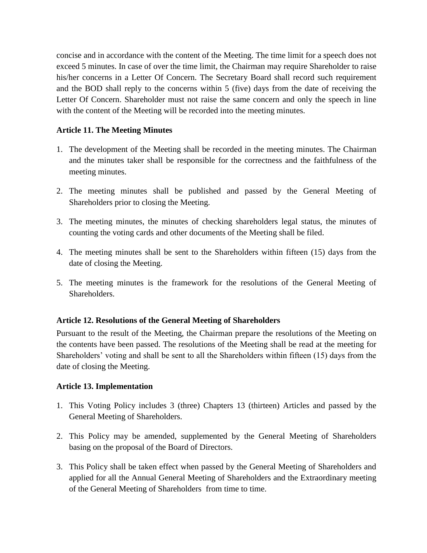concise and in accordance with the content of the Meeting. The time limit for a speech does not exceed 5 minutes. In case of over the time limit, the Chairman may require Shareholder to raise his/her concerns in a Letter Of Concern. The Secretary Board shall record such requirement and the BOD shall reply to the concerns within 5 (five) days from the date of receiving the Letter Of Concern. Shareholder must not raise the same concern and only the speech in line with the content of the Meeting will be recorded into the meeting minutes.

## **Article 11. The Meeting Minutes**

- 1. The development of the Meeting shall be recorded in the meeting minutes. The Chairman and the minutes taker shall be responsible for the correctness and the faithfulness of the meeting minutes.
- 2. The meeting minutes shall be published and passed by the General Meeting of Shareholders prior to closing the Meeting.
- 3. The meeting minutes, the minutes of checking shareholders legal status, the minutes of counting the voting cards and other documents of the Meeting shall be filed.
- 4. The meeting minutes shall be sent to the Shareholders within fifteen (15) days from the date of closing the Meeting.
- 5. The meeting minutes is the framework for the resolutions of the General Meeting of Shareholders.

## **Article 12. Resolutions of the General Meeting of Shareholders**

Pursuant to the result of the Meeting, the Chairman prepare the resolutions of the Meeting on the contents have been passed. The resolutions of the Meeting shall be read at the meeting for Shareholders' voting and shall be sent to all the Shareholders within fifteen (15) days from the date of closing the Meeting.

#### **Article 13. Implementation**

- 1. This Voting Policy includes 3 (three) Chapters 13 (thirteen) Articles and passed by the General Meeting of Shareholders.
- 2. This Policy may be amended, supplemented by the General Meeting of Shareholders basing on the proposal of the Board of Directors.
- 3. This Policy shall be taken effect when passed by the General Meeting of Shareholders and applied for all the Annual General Meeting of Shareholders and the Extraordinary meeting of the General Meeting of Shareholders from time to time.